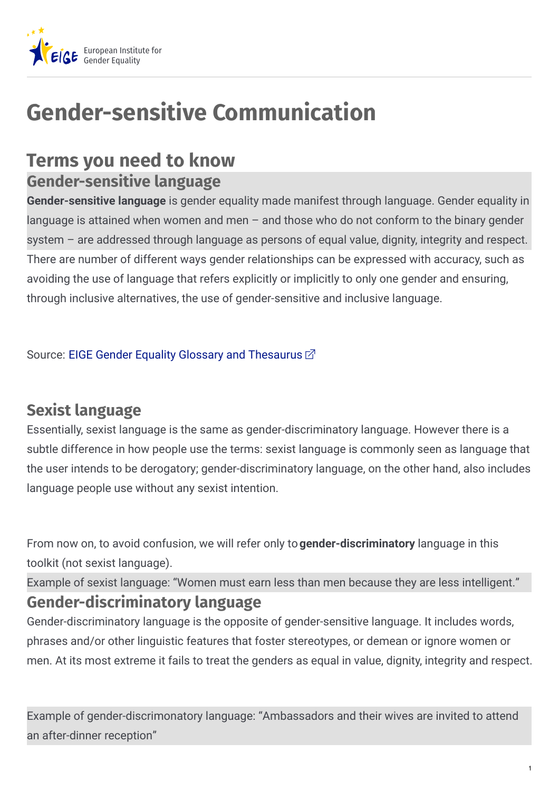

# **Gender-sensitive Communication**

## **Terms you need to know**

#### **Gender-sensitive language**

**Gender-sensitive language** is gender equality made manifest through language. Gender equality in language is attained when women and men – and those who do not conform to the binary gender system – are addressed through language as persons of equal value, dignity, integrity and respect. There are number of different ways gender relationships can be expressed with accuracy, such as avoiding the use of language that refers explicitly or implicitly to only one gender and ensuring, through inclusive alternatives, the use of gender-sensitive and inclusive language.

Source: EIGE Gender Equality Glossary and [Thesaurus](https://eige.europa.eu/rdc/thesaurus)  $\vec{\Omega}$ 

#### **Sexist language**

Essentially, sexist language is the same as gender-discriminatory language. However there is a subtle difference in how people use the terms: sexist language is commonly seen as language that the user intends to be derogatory; gender-discriminatory language, on the other hand, also includes language people use without any sexist intention.

From now on, to avoid confusion, we will refer only to**gender-discriminatory** language in this toolkit (not sexist language).

Example of sexist language: "Women must earn less than men because they are less intelligent." **Gender-discriminatory language**

Gender-discriminatory language is the opposite of gender-sensitive language. It includes words, phrases and/or other linguistic features that foster stereotypes, or demean or ignore women or men. At its most extreme it fails to treat the genders as equal in value, dignity, integrity and respect.

Example of gender-discrimonatory language: "Ambassadors and their wives are invited to attend an after-dinner reception"